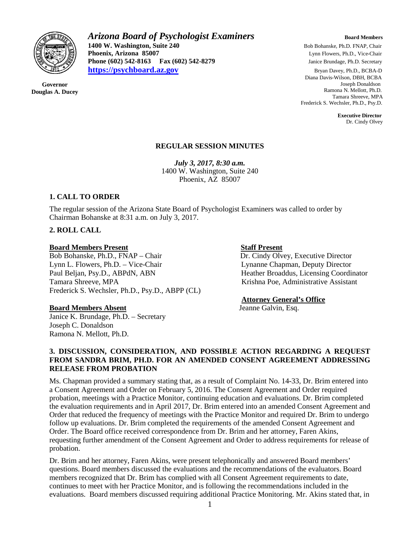

**Governor Douglas A. Ducey** *Arizona Board of Psychologist Examiners Board Members* **1400 W. Washington, Suite 240 Bob Bohanske, Ph.D. FNAP, Chair** Bob Bohanske, Ph.D. FNAP, Chair **Phoenix. Arizona 85007 Bob Bohanske, Ph.D. Vice-Chair Phoenix, Arizona 85007 Phoenix, Arizona 85007 Phone (602) 542-8279 Phone (602) 542-8163 Ph.D.** Secretary **[https://psychboard.az.gov](https://psychboard.az.gov/)** Bryan Davey, Ph.D., BCBA-D

 Diana Davis-Wilson, DBH, BCBA Joseph Donaldson Ramona N. Mellott, Ph.D. Tamara Shreeve, MPA Frederick S. Wechsler, Ph.D., Psy.D.

> **Executive Director** Dr. Cindy Olvey

## **REGULAR SESSION MINUTES**

*July 3, 2017, 8:30 a.m.*  1400 W. Washington, Suite 240 Phoenix, AZ 85007

## **1. CALL TO ORDER**

The regular session of the Arizona State Board of Psychologist Examiners was called to order by Chairman Bohanske at 8:31 a.m. on July 3, 2017.

## **2. ROLL CALL**

### **Board Members Present Staff Present**

Bob Bohanske, Ph.D., FNAP – Chair Dr. Cindy Olvey, Executive Director Lynn L. Flowers, Ph.D. – Vice-Chair Lynne Chapman, Deputy Director Lynn L. Flowers, Ph.D. – Vice-Chair Paul Beljan, Psy.D., ABPdN, ABN Heather Broaddus, Licensing Coordinator Tamara Shreeve, MPA Krishna Poe, Administrative Assistant Frederick S. Wechsler, Ph.D., Psy.D., ABPP (CL)

### **Board Members Absent** Jeanne Galvin, Esq.

Janice K. Brundage, Ph.D. – Secretary Joseph C. Donaldson Ramona N. Mellott, Ph.D.

### **Attorney General's Office**

## **3. DISCUSSION, CONSIDERATION, AND POSSIBLE ACTION REGARDING A REQUEST FROM SANDRA BRIM, PH.D. FOR AN AMENDED CONSENT AGREEMENT ADDRESSING RELEASE FROM PROBATION**

Ms. Chapman provided a summary stating that, as a result of Complaint No. 14-33, Dr. Brim entered into a Consent Agreement and Order on February 5, 2016. The Consent Agreement and Order required probation, meetings with a Practice Monitor, continuing education and evaluations. Dr. Brim completed the evaluation requirements and in April 2017, Dr. Brim entered into an amended Consent Agreement and Order that reduced the frequency of meetings with the Practice Monitor and required Dr. Brim to undergo follow up evaluations. Dr. Brim completed the requirements of the amended Consent Agreement and Order. The Board office received correspondence from Dr. Brim and her attorney, Faren Akins, requesting further amendment of the Consent Agreement and Order to address requirements for release of probation.

Dr. Brim and her attorney, Faren Akins, were present telephonically and answered Board members' questions. Board members discussed the evaluations and the recommendations of the evaluators. Board members recognized that Dr. Brim has complied with all Consent Agreement requirements to date, continues to meet with her Practice Monitor, and is following the recommendations included in the evaluations. Board members discussed requiring additional Practice Monitoring. Mr. Akins stated that, in